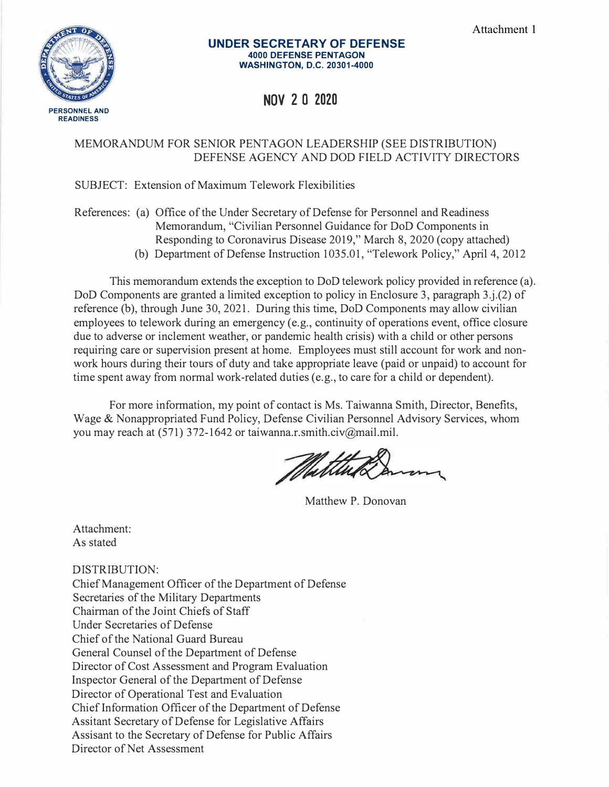

#### **UNDER SECRETARY OF DEFENSE 4000 DEFENSE PENTAGON WASHINGTON, D.C. 20301-4000**

# **NOV 2 0 2020**

# MEMORANDUM FOR SENIOR PENTAGON LEADERSHIP (SEE DISTRIBUTION) DEFENSE AGENCY AND DOD FIELD ACTIVITY DIRECTORS

## SUBJECT: Extension of Maximum Telework Flexibilities

## References: (a) Office of the Under Secretary of Defense for Personnel and Readiness Memorandum, "Civilian Personnel Guidance for DoD Components in Responding to Coronavirus Disease 2019," March 8, 2020 (copy attached)

(b) Department of Defense Instruction 1035.01, "Telework Policy," April 4, 2012

This memorandum extends the exception to DoD telework policy provided in reference (a). DoD Components are granted a limited exception to policy in Enclosure 3, paragraph 3.j.(2) of reference (b), through June 30, 2021. During this time, DoD Components may allow civilian employees to telework during an emergency (e.g., continuity of operations event, office closure due to adverse or inclement weather, or pandemic health crisis) with a child or other persons requiring care or supervision present at home. Employees must still account for work and nonwork hours during their tours of duty and take appropriate leave (paid or unpaid) to account for time spent away from normal work-related duties (e.g., to care for a child or dependent).

For more information, my point of contact is Ms. Taiwanna Smith, Director, Benefits, Wage & Nonappropriated Fund Policy, Defense Civilian Personnel Advisory Services, whom you may reach at (571) 372-1642 or taiwanna.r.smith.civ@mail.mil.

Matthew P. Donovan

Attachment: As stated

DISTRIBUTION: Chief Management Officer of the Department of Defense Secretaries of the Military Departments Chairman of the Joint Chiefs of Staff Under Secretaries of Defense Chief of the National Guard Bureau General Counsel of the Department of Defense Director of Cost Assessment and Program Evaluation Inspector General of the Department of Defense Director of Operational Test and Evaluation Chief Information Officer of the Department of Defense Assitant Secretary of Defense for Legislative Affairs Assisant to the Secretary of Defense for Public Affairs Director of Net Assessment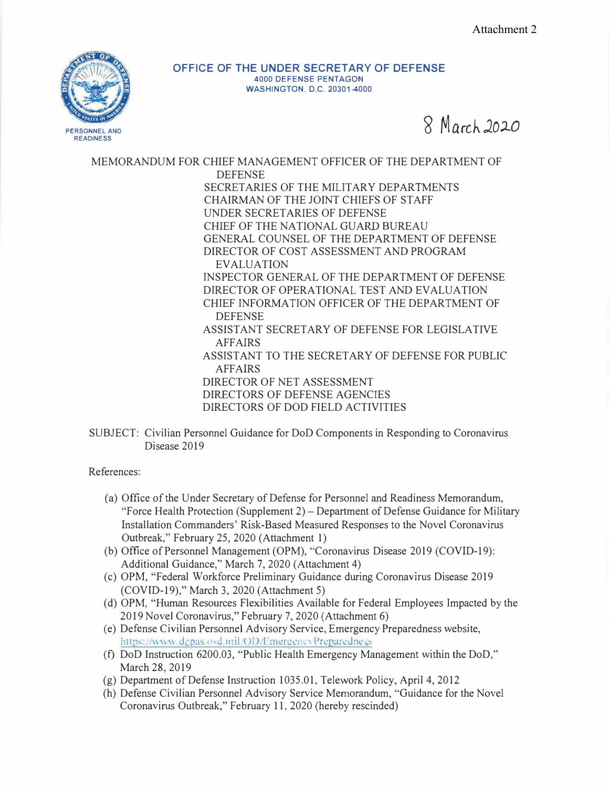

**OFFICE OF THE UNDER SECRETARY OF DEFENSE 4000 DEFENSE PENTAGON WASHINGTON, D.C. 20301-4000** 

**8 March** *J.Ol.0*

MEMORANDUM FOR CHIEF MANAGEMENT OFFICER OF THE DEPARTMENT OF DEFENSE SECRETARIES OF THE MILITARY DEPARTMENTS CHAIRMAN OF THE JOINT CHIEFS OF STAFF UNDER SECRETARIES OF DEFENSE CHIEF OF THE NATIONAL GUARD BUREAU GENERAL COUNSEL OF THE DEPARTMENT OF DEFENSE DIRECTOR OF COST ASSESSMENT AND PROGRAM EVALUATION INSPECTOR GENERAL OF THE DEPARTMENT OF DEFENSE DIRECTOR OF OPERATIONAL TEST AND EVALUATION CHIEF INFORMATION OFFICER OF THE DEPARTMENT OF DEFENSE ASSISTANT SECRETARY OF DEFENSE FOR LEGISLATIVE AFFAIRS ASSISTANT TO THE SECRETARY OF DEFENSE FOR PUBLIC AFFAIRS DIRECTOR OF NET ASSESSMENT DIRECTORS OF DEFENSE AGENCIES DIRECTORS OF DOD FIELD ACTIVITIES

SUBJECT: Civilian Personnel Guidance for DoD Components in Responding to Coronavirus Disease 2019

References:

- (a) Office of the Under Secretary of Defense for Personnel and Readiness Memorandum, "Force Health Protection (Supplement 2)- Department of Defense Guidance for Military Installation Commanders' Risk-Based Measured Responses to the Novel Coronavirus Outbreak," February 25, 2020 (Attachment 1)
- (b) Office of Personnel Management (OPM), "Corona virus Disease 2019 (COVID-19): Additional Guidance," March 7, 2020 (Attachment 4)
- (c) OPM, "Federal Workforce Preliminary Guidance during Coronavirus Disease 2019 (COVID-19)," March 3, 2020 (Attachment 5)
- (d) OPM, "Human Resources Flexibilities Available for Federal Employees Impacted by the 2019 Novel Coronavirus," February 7, 2020 (Attachment 6)
- (e) Defense Civilian Personnel Advisory Service, Emergency Preparedness website, https://www.dcpas.osd.mil/OD/EmergencyPreparedness.
- (f) DoD Instruction 6200.03, "Public Health Emergency Management within the DoD," March 28, 2019
- (g) Department of Defense Instruction 1035.01, Telework Policy, April 4, 2012
- (h) Defense Civilian Personnel Advisory Service Memorandum, "Guidance for the Novel Coronavirus Outbreak," February 11, 2020 (hereby rescinded)